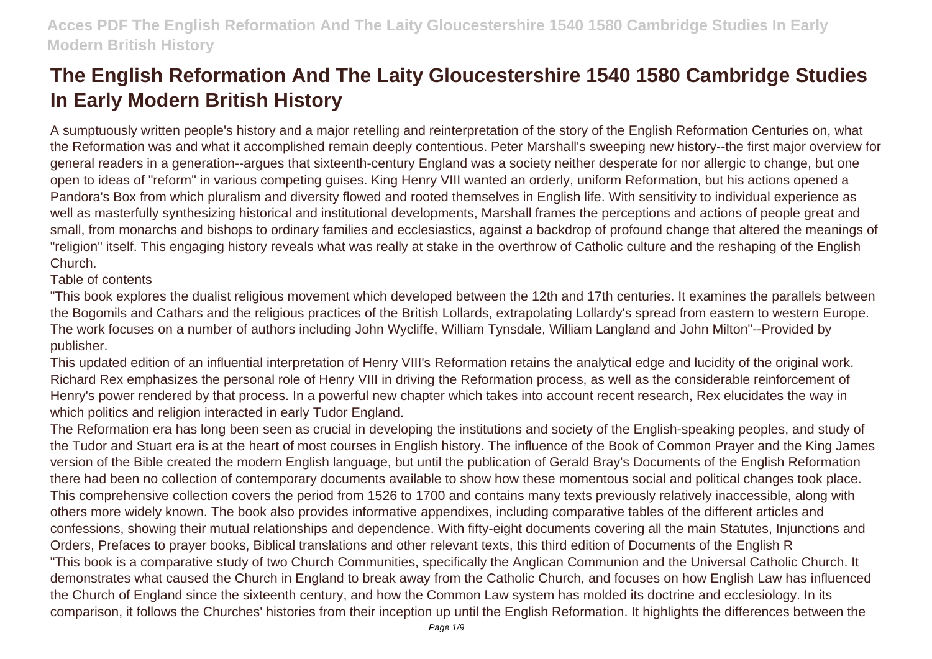A sumptuously written people's history and a major retelling and reinterpretation of the story of the English Reformation Centuries on, what the Reformation was and what it accomplished remain deeply contentious. Peter Marshall's sweeping new history--the first major overview for general readers in a generation--argues that sixteenth-century England was a society neither desperate for nor allergic to change, but one open to ideas of "reform" in various competing guises. King Henry VIII wanted an orderly, uniform Reformation, but his actions opened a Pandora's Box from which pluralism and diversity flowed and rooted themselves in English life. With sensitivity to individual experience as well as masterfully synthesizing historical and institutional developments, Marshall frames the perceptions and actions of people great and small, from monarchs and bishops to ordinary families and ecclesiastics, against a backdrop of profound change that altered the meanings of "religion" itself. This engaging history reveals what was really at stake in the overthrow of Catholic culture and the reshaping of the English Church.

Table of contents

"This book explores the dualist religious movement which developed between the 12th and 17th centuries. It examines the parallels between the Bogomils and Cathars and the religious practices of the British Lollards, extrapolating Lollardy's spread from eastern to western Europe. The work focuses on a number of authors including John Wycliffe, William Tynsdale, William Langland and John Milton"--Provided by publisher.

This updated edition of an influential interpretation of Henry VIII's Reformation retains the analytical edge and lucidity of the original work. Richard Rex emphasizes the personal role of Henry VIII in driving the Reformation process, as well as the considerable reinforcement of Henry's power rendered by that process. In a powerful new chapter which takes into account recent research, Rex elucidates the way in which politics and religion interacted in early Tudor England.

The Reformation era has long been seen as crucial in developing the institutions and society of the English-speaking peoples, and study of the Tudor and Stuart era is at the heart of most courses in English history. The influence of the Book of Common Prayer and the King James version of the Bible created the modern English language, but until the publication of Gerald Bray's Documents of the English Reformation there had been no collection of contemporary documents available to show how these momentous social and political changes took place. This comprehensive collection covers the period from 1526 to 1700 and contains many texts previously relatively inaccessible, along with others more widely known. The book also provides informative appendixes, including comparative tables of the different articles and confessions, showing their mutual relationships and dependence. With fifty-eight documents covering all the main Statutes, Injunctions and Orders, Prefaces to prayer books, Biblical translations and other relevant texts, this third edition of Documents of the English R "This book is a comparative study of two Church Communities, specifically the Anglican Communion and the Universal Catholic Church. It demonstrates what caused the Church in England to break away from the Catholic Church, and focuses on how English Law has influenced the Church of England since the sixteenth century, and how the Common Law system has molded its doctrine and ecclesiology. In its comparison, it follows the Churches' histories from their inception up until the English Reformation. It highlights the differences between the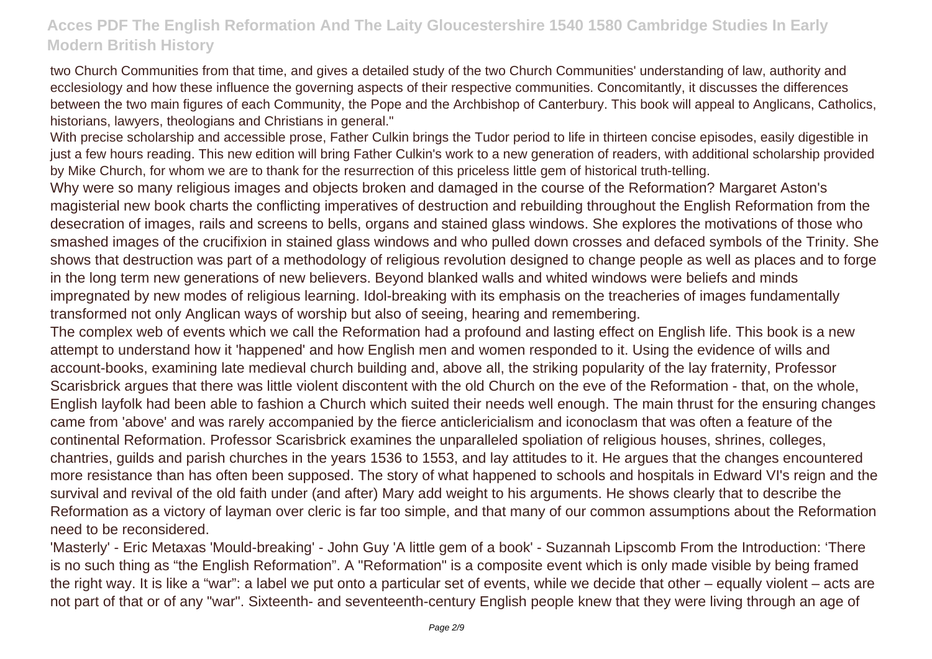two Church Communities from that time, and gives a detailed study of the two Church Communities' understanding of law, authority and ecclesiology and how these influence the governing aspects of their respective communities. Concomitantly, it discusses the differences between the two main figures of each Community, the Pope and the Archbishop of Canterbury. This book will appeal to Anglicans, Catholics, historians, lawyers, theologians and Christians in general."

With precise scholarship and accessible prose, Father Culkin brings the Tudor period to life in thirteen concise episodes. easily digestible in just a few hours reading. This new edition will bring Father Culkin's work to a new generation of readers, with additional scholarship provided by Mike Church, for whom we are to thank for the resurrection of this priceless little gem of historical truth-telling.

Why were so many religious images and objects broken and damaged in the course of the Reformation? Margaret Aston's magisterial new book charts the conflicting imperatives of destruction and rebuilding throughout the English Reformation from the desecration of images, rails and screens to bells, organs and stained glass windows. She explores the motivations of those who smashed images of the crucifixion in stained glass windows and who pulled down crosses and defaced symbols of the Trinity. She shows that destruction was part of a methodology of religious revolution designed to change people as well as places and to forge in the long term new generations of new believers. Beyond blanked walls and whited windows were beliefs and minds impregnated by new modes of religious learning. Idol-breaking with its emphasis on the treacheries of images fundamentally transformed not only Anglican ways of worship but also of seeing, hearing and remembering.

The complex web of events which we call the Reformation had a profound and lasting effect on English life. This book is a new attempt to understand how it 'happened' and how English men and women responded to it. Using the evidence of wills and account-books, examining late medieval church building and, above all, the striking popularity of the lay fraternity, Professor Scarisbrick argues that there was little violent discontent with the old Church on the eve of the Reformation - that, on the whole, English layfolk had been able to fashion a Church which suited their needs well enough. The main thrust for the ensuring changes came from 'above' and was rarely accompanied by the fierce anticlericialism and iconoclasm that was often a feature of the continental Reformation. Professor Scarisbrick examines the unparalleled spoliation of religious houses, shrines, colleges, chantries, guilds and parish churches in the years 1536 to 1553, and lay attitudes to it. He argues that the changes encountered more resistance than has often been supposed. The story of what happened to schools and hospitals in Edward VI's reign and the survival and revival of the old faith under (and after) Mary add weight to his arguments. He shows clearly that to describe the Reformation as a victory of layman over cleric is far too simple, and that many of our common assumptions about the Reformation need to be reconsidered.

'Masterly' - Eric Metaxas 'Mould-breaking' - John Guy 'A little gem of a book' - Suzannah Lipscomb From the Introduction: 'There is no such thing as "the English Reformation". A "Reformation" is a composite event which is only made visible by being framed the right way. It is like a "war": a label we put onto a particular set of events, while we decide that other – equally violent – acts are not part of that or of any "war". Sixteenth- and seventeenth-century English people knew that they were living through an age of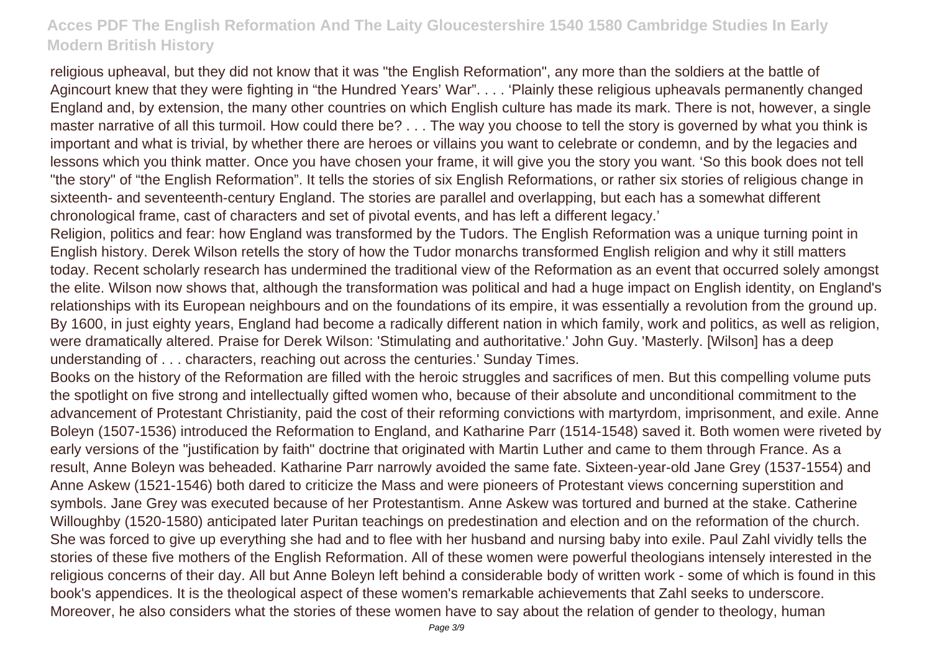religious upheaval, but they did not know that it was "the English Reformation", any more than the soldiers at the battle of Agincourt knew that they were fighting in "the Hundred Years' War". . . . 'Plainly these religious upheavals permanently changed England and, by extension, the many other countries on which English culture has made its mark. There is not, however, a single master narrative of all this turmoil. How could there be? . . . The way you choose to tell the story is governed by what you think is important and what is trivial, by whether there are heroes or villains you want to celebrate or condemn, and by the legacies and lessons which you think matter. Once you have chosen your frame, it will give you the story you want. 'So this book does not tell "the story" of "the English Reformation". It tells the stories of six English Reformations, or rather six stories of religious change in sixteenth- and seventeenth-century England. The stories are parallel and overlapping, but each has a somewhat different chronological frame, cast of characters and set of pivotal events, and has left a different legacy.'

Religion, politics and fear: how England was transformed by the Tudors. The English Reformation was a unique turning point in English history. Derek Wilson retells the story of how the Tudor monarchs transformed English religion and why it still matters today. Recent scholarly research has undermined the traditional view of the Reformation as an event that occurred solely amongst the elite. Wilson now shows that, although the transformation was political and had a huge impact on English identity, on England's relationships with its European neighbours and on the foundations of its empire, it was essentially a revolution from the ground up. By 1600, in just eighty years, England had become a radically different nation in which family, work and politics, as well as religion, were dramatically altered. Praise for Derek Wilson: 'Stimulating and authoritative.' John Guy. 'Masterly. [Wilson] has a deep understanding of . . . characters, reaching out across the centuries.' Sunday Times.

Books on the history of the Reformation are filled with the heroic struggles and sacrifices of men. But this compelling volume puts the spotlight on five strong and intellectually gifted women who, because of their absolute and unconditional commitment to the advancement of Protestant Christianity, paid the cost of their reforming convictions with martyrdom, imprisonment, and exile. Anne Boleyn (1507-1536) introduced the Reformation to England, and Katharine Parr (1514-1548) saved it. Both women were riveted by early versions of the "justification by faith" doctrine that originated with Martin Luther and came to them through France. As a result, Anne Boleyn was beheaded. Katharine Parr narrowly avoided the same fate. Sixteen-year-old Jane Grey (1537-1554) and Anne Askew (1521-1546) both dared to criticize the Mass and were pioneers of Protestant views concerning superstition and symbols. Jane Grey was executed because of her Protestantism. Anne Askew was tortured and burned at the stake. Catherine Willoughby (1520-1580) anticipated later Puritan teachings on predestination and election and on the reformation of the church. She was forced to give up everything she had and to flee with her husband and nursing baby into exile. Paul Zahl vividly tells the stories of these five mothers of the English Reformation. All of these women were powerful theologians intensely interested in the religious concerns of their day. All but Anne Boleyn left behind a considerable body of written work - some of which is found in this book's appendices. It is the theological aspect of these women's remarkable achievements that Zahl seeks to underscore. Moreover, he also considers what the stories of these women have to say about the relation of gender to theology, human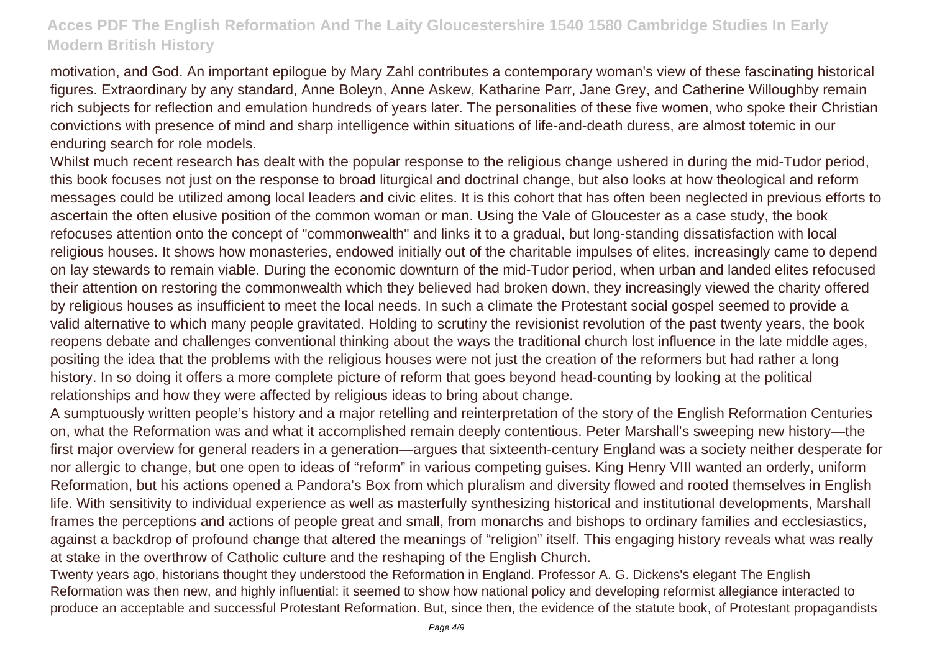motivation, and God. An important epilogue by Mary Zahl contributes a contemporary woman's view of these fascinating historical figures. Extraordinary by any standard, Anne Boleyn, Anne Askew, Katharine Parr, Jane Grey, and Catherine Willoughby remain rich subjects for reflection and emulation hundreds of years later. The personalities of these five women, who spoke their Christian convictions with presence of mind and sharp intelligence within situations of life-and-death duress, are almost totemic in our enduring search for role models.

Whilst much recent research has dealt with the popular response to the religious change ushered in during the mid-Tudor period, this book focuses not just on the response to broad liturgical and doctrinal change, but also looks at how theological and reform messages could be utilized among local leaders and civic elites. It is this cohort that has often been neglected in previous efforts to ascertain the often elusive position of the common woman or man. Using the Vale of Gloucester as a case study, the book refocuses attention onto the concept of "commonwealth" and links it to a gradual, but long-standing dissatisfaction with local religious houses. It shows how monasteries, endowed initially out of the charitable impulses of elites, increasingly came to depend on lay stewards to remain viable. During the economic downturn of the mid-Tudor period, when urban and landed elites refocused their attention on restoring the commonwealth which they believed had broken down, they increasingly viewed the charity offered by religious houses as insufficient to meet the local needs. In such a climate the Protestant social gospel seemed to provide a valid alternative to which many people gravitated. Holding to scrutiny the revisionist revolution of the past twenty years, the book reopens debate and challenges conventional thinking about the ways the traditional church lost influence in the late middle ages, positing the idea that the problems with the religious houses were not just the creation of the reformers but had rather a long history. In so doing it offers a more complete picture of reform that goes beyond head-counting by looking at the political relationships and how they were affected by religious ideas to bring about change.

A sumptuously written people's history and a major retelling and reinterpretation of the story of the English Reformation Centuries on, what the Reformation was and what it accomplished remain deeply contentious. Peter Marshall's sweeping new history—the first major overview for general readers in a generation—argues that sixteenth-century England was a society neither desperate for nor allergic to change, but one open to ideas of "reform" in various competing guises. King Henry VIII wanted an orderly, uniform Reformation, but his actions opened a Pandora's Box from which pluralism and diversity flowed and rooted themselves in English life. With sensitivity to individual experience as well as masterfully synthesizing historical and institutional developments, Marshall frames the perceptions and actions of people great and small, from monarchs and bishops to ordinary families and ecclesiastics, against a backdrop of profound change that altered the meanings of "religion" itself. This engaging history reveals what was really at stake in the overthrow of Catholic culture and the reshaping of the English Church.

Twenty years ago, historians thought they understood the Reformation in England. Professor A. G. Dickens's elegant The English Reformation was then new, and highly influential: it seemed to show how national policy and developing reformist allegiance interacted to produce an acceptable and successful Protestant Reformation. But, since then, the evidence of the statute book, of Protestant propagandists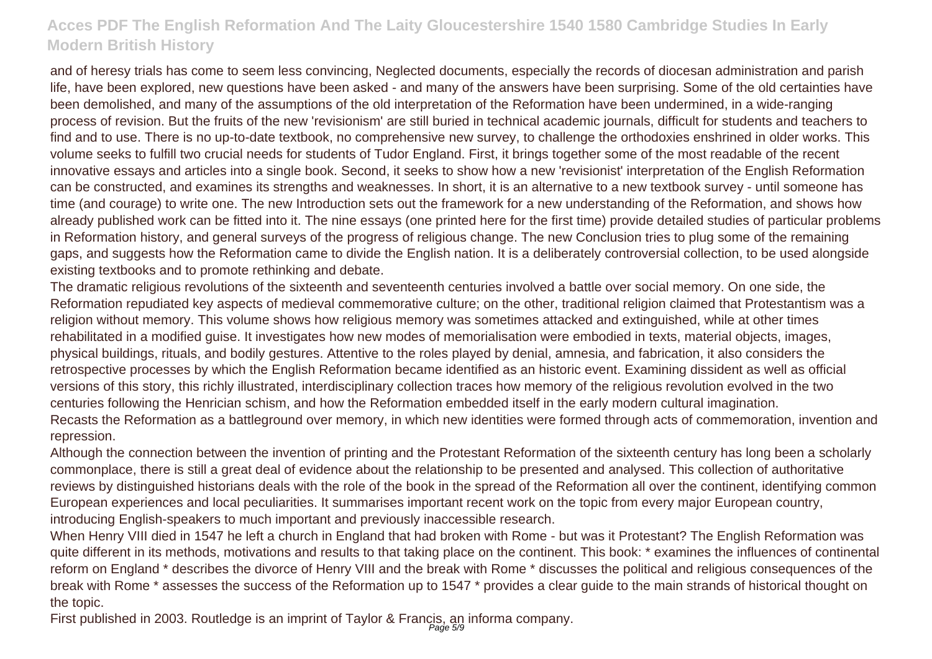and of heresy trials has come to seem less convincing, Neglected documents, especially the records of diocesan administration and parish life, have been explored, new questions have been asked - and many of the answers have been surprising. Some of the old certainties have been demolished, and many of the assumptions of the old interpretation of the Reformation have been undermined, in a wide-ranging process of revision. But the fruits of the new 'revisionism' are still buried in technical academic journals, difficult for students and teachers to find and to use. There is no up-to-date textbook, no comprehensive new survey, to challenge the orthodoxies enshrined in older works. This volume seeks to fulfill two crucial needs for students of Tudor England. First, it brings together some of the most readable of the recent innovative essays and articles into a single book. Second, it seeks to show how a new 'revisionist' interpretation of the English Reformation can be constructed, and examines its strengths and weaknesses. In short, it is an alternative to a new textbook survey - until someone has time (and courage) to write one. The new Introduction sets out the framework for a new understanding of the Reformation, and shows how already published work can be fitted into it. The nine essays (one printed here for the first time) provide detailed studies of particular problems in Reformation history, and general surveys of the progress of religious change. The new Conclusion tries to plug some of the remaining gaps, and suggests how the Reformation came to divide the English nation. It is a deliberately controversial collection, to be used alongside existing textbooks and to promote rethinking and debate.

The dramatic religious revolutions of the sixteenth and seventeenth centuries involved a battle over social memory. On one side, the Reformation repudiated key aspects of medieval commemorative culture; on the other, traditional religion claimed that Protestantism was a religion without memory. This volume shows how religious memory was sometimes attacked and extinguished, while at other times rehabilitated in a modified guise. It investigates how new modes of memorialisation were embodied in texts, material objects, images, physical buildings, rituals, and bodily gestures. Attentive to the roles played by denial, amnesia, and fabrication, it also considers the retrospective processes by which the English Reformation became identified as an historic event. Examining dissident as well as official versions of this story, this richly illustrated, interdisciplinary collection traces how memory of the religious revolution evolved in the two centuries following the Henrician schism, and how the Reformation embedded itself in the early modern cultural imagination. Recasts the Reformation as a battleground over memory, in which new identities were formed through acts of commemoration, invention and repression.

Although the connection between the invention of printing and the Protestant Reformation of the sixteenth century has long been a scholarly commonplace, there is still a great deal of evidence about the relationship to be presented and analysed. This collection of authoritative reviews by distinguished historians deals with the role of the book in the spread of the Reformation all over the continent, identifying common European experiences and local peculiarities. It summarises important recent work on the topic from every major European country, introducing English-speakers to much important and previously inaccessible research.

When Henry VIII died in 1547 he left a church in England that had broken with Rome - but was it Protestant? The English Reformation was quite different in its methods, motivations and results to that taking place on the continent. This book: \* examines the influences of continental reform on England \* describes the divorce of Henry VIII and the break with Rome \* discusses the political and religious consequences of the break with Rome \* assesses the success of the Reformation up to 1547 \* provides a clear guide to the main strands of historical thought on the topic.

First published in 2003. Routledge is an imprint of Taylor & Francis, an informa company.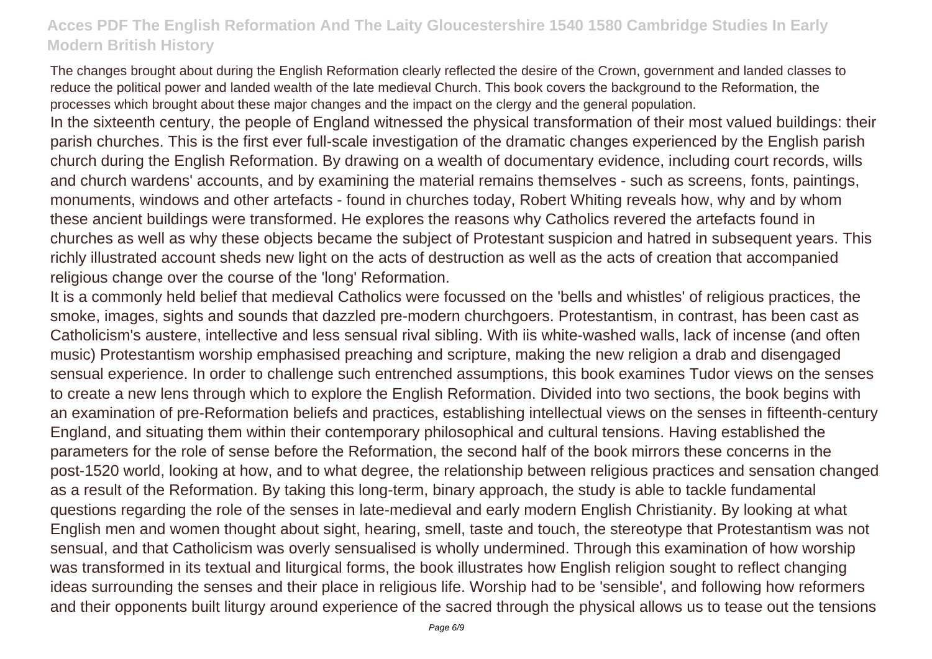The changes brought about during the English Reformation clearly reflected the desire of the Crown, government and landed classes to reduce the political power and landed wealth of the late medieval Church. This book covers the background to the Reformation, the processes which brought about these major changes and the impact on the clergy and the general population.

In the sixteenth century, the people of England witnessed the physical transformation of their most valued buildings: their parish churches. This is the first ever full-scale investigation of the dramatic changes experienced by the English parish church during the English Reformation. By drawing on a wealth of documentary evidence, including court records, wills and church wardens' accounts, and by examining the material remains themselves - such as screens, fonts, paintings, monuments, windows and other artefacts - found in churches today, Robert Whiting reveals how, why and by whom these ancient buildings were transformed. He explores the reasons why Catholics revered the artefacts found in churches as well as why these objects became the subject of Protestant suspicion and hatred in subsequent years. This richly illustrated account sheds new light on the acts of destruction as well as the acts of creation that accompanied religious change over the course of the 'long' Reformation.

It is a commonly held belief that medieval Catholics were focussed on the 'bells and whistles' of religious practices, the smoke, images, sights and sounds that dazzled pre-modern churchgoers. Protestantism, in contrast, has been cast as Catholicism's austere, intellective and less sensual rival sibling. With iis white-washed walls, lack of incense (and often music) Protestantism worship emphasised preaching and scripture, making the new religion a drab and disengaged sensual experience. In order to challenge such entrenched assumptions, this book examines Tudor views on the senses to create a new lens through which to explore the English Reformation. Divided into two sections, the book begins with an examination of pre-Reformation beliefs and practices, establishing intellectual views on the senses in fifteenth-century England, and situating them within their contemporary philosophical and cultural tensions. Having established the parameters for the role of sense before the Reformation, the second half of the book mirrors these concerns in the post-1520 world, looking at how, and to what degree, the relationship between religious practices and sensation changed as a result of the Reformation. By taking this long-term, binary approach, the study is able to tackle fundamental questions regarding the role of the senses in late-medieval and early modern English Christianity. By looking at what English men and women thought about sight, hearing, smell, taste and touch, the stereotype that Protestantism was not sensual, and that Catholicism was overly sensualised is wholly undermined. Through this examination of how worship was transformed in its textual and liturgical forms, the book illustrates how English religion sought to reflect changing ideas surrounding the senses and their place in religious life. Worship had to be 'sensible', and following how reformers and their opponents built liturgy around experience of the sacred through the physical allows us to tease out the tensions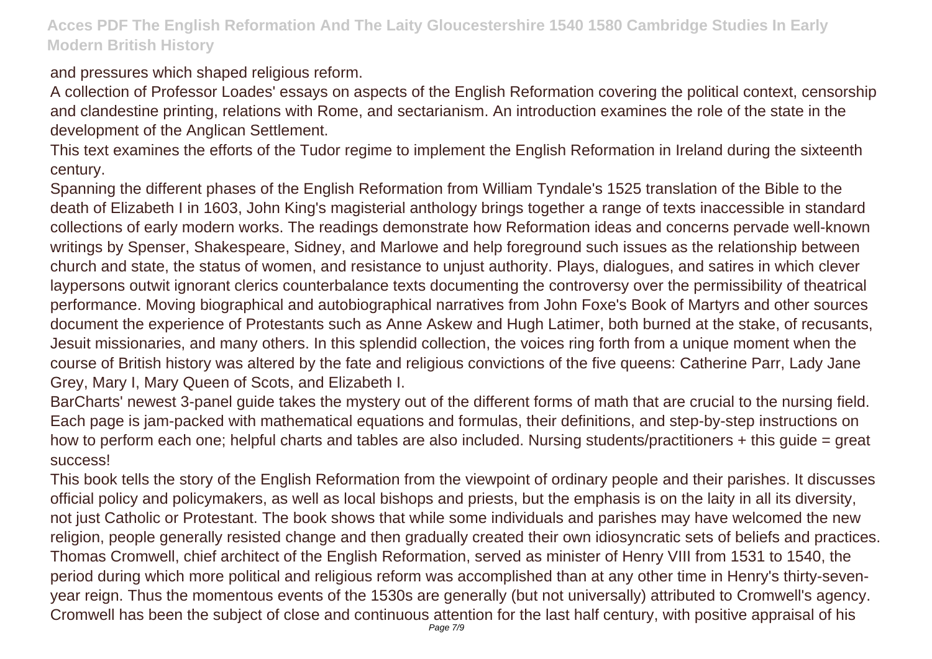and pressures which shaped religious reform.

A collection of Professor Loades' essays on aspects of the English Reformation covering the political context, censorship and clandestine printing, relations with Rome, and sectarianism. An introduction examines the role of the state in the development of the Anglican Settlement.

This text examines the efforts of the Tudor regime to implement the English Reformation in Ireland during the sixteenth century.

Spanning the different phases of the English Reformation from William Tyndale's 1525 translation of the Bible to the death of Elizabeth I in 1603, John King's magisterial anthology brings together a range of texts inaccessible in standard collections of early modern works. The readings demonstrate how Reformation ideas and concerns pervade well-known writings by Spenser, Shakespeare, Sidney, and Marlowe and help foreground such issues as the relationship between church and state, the status of women, and resistance to unjust authority. Plays, dialogues, and satires in which clever laypersons outwit ignorant clerics counterbalance texts documenting the controversy over the permissibility of theatrical performance. Moving biographical and autobiographical narratives from John Foxe's Book of Martyrs and other sources document the experience of Protestants such as Anne Askew and Hugh Latimer, both burned at the stake, of recusants, Jesuit missionaries, and many others. In this splendid collection, the voices ring forth from a unique moment when the course of British history was altered by the fate and religious convictions of the five queens: Catherine Parr, Lady Jane Grey, Mary I, Mary Queen of Scots, and Elizabeth I.

BarCharts' newest 3-panel guide takes the mystery out of the different forms of math that are crucial to the nursing field. Each page is jam-packed with mathematical equations and formulas, their definitions, and step-by-step instructions on how to perform each one; helpful charts and tables are also included. Nursing students/practitioners + this guide = great success!

This book tells the story of the English Reformation from the viewpoint of ordinary people and their parishes. It discusses official policy and policymakers, as well as local bishops and priests, but the emphasis is on the laity in all its diversity, not just Catholic or Protestant. The book shows that while some individuals and parishes may have welcomed the new religion, people generally resisted change and then gradually created their own idiosyncratic sets of beliefs and practices. Thomas Cromwell, chief architect of the English Reformation, served as minister of Henry VIII from 1531 to 1540, the period during which more political and religious reform was accomplished than at any other time in Henry's thirty-sevenyear reign. Thus the momentous events of the 1530s are generally (but not universally) attributed to Cromwell's agency. Cromwell has been the subject of close and continuous attention for the last half century, with positive appraisal of his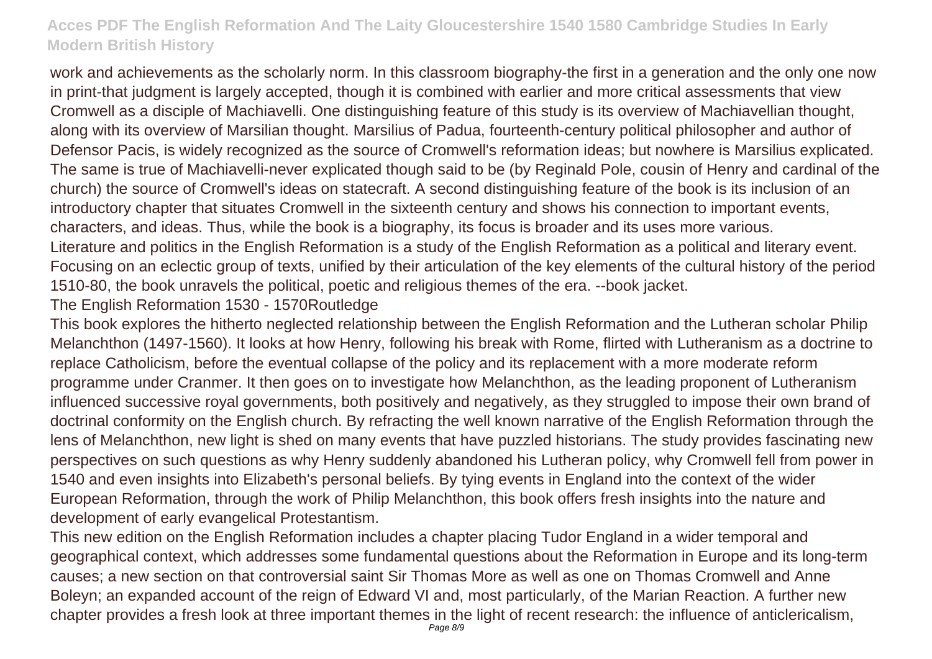work and achievements as the scholarly norm. In this classroom biography-the first in a generation and the only one now in print-that judgment is largely accepted, though it is combined with earlier and more critical assessments that view Cromwell as a disciple of Machiavelli. One distinguishing feature of this study is its overview of Machiavellian thought, along with its overview of Marsilian thought. Marsilius of Padua, fourteenth-century political philosopher and author of Defensor Pacis, is widely recognized as the source of Cromwell's reformation ideas; but nowhere is Marsilius explicated. The same is true of Machiavelli-never explicated though said to be (by Reginald Pole, cousin of Henry and cardinal of the church) the source of Cromwell's ideas on statecraft. A second distinguishing feature of the book is its inclusion of an introductory chapter that situates Cromwell in the sixteenth century and shows his connection to important events, characters, and ideas. Thus, while the book is a biography, its focus is broader and its uses more various. Literature and politics in the English Reformation is a study of the English Reformation as a political and literary event. Focusing on an eclectic group of texts, unified by their articulation of the key elements of the cultural history of the period 1510-80, the book unravels the political, poetic and religious themes of the era. --book jacket.

The English Reformation 1530 - 1570Routledge

This book explores the hitherto neglected relationship between the English Reformation and the Lutheran scholar Philip Melanchthon (1497-1560). It looks at how Henry, following his break with Rome, flirted with Lutheranism as a doctrine to replace Catholicism, before the eventual collapse of the policy and its replacement with a more moderate reform programme under Cranmer. It then goes on to investigate how Melanchthon, as the leading proponent of Lutheranism influenced successive royal governments, both positively and negatively, as they struggled to impose their own brand of doctrinal conformity on the English church. By refracting the well known narrative of the English Reformation through the lens of Melanchthon, new light is shed on many events that have puzzled historians. The study provides fascinating new perspectives on such questions as why Henry suddenly abandoned his Lutheran policy, why Cromwell fell from power in 1540 and even insights into Elizabeth's personal beliefs. By tying events in England into the context of the wider European Reformation, through the work of Philip Melanchthon, this book offers fresh insights into the nature and development of early evangelical Protestantism.

This new edition on the English Reformation includes a chapter placing Tudor England in a wider temporal and geographical context, which addresses some fundamental questions about the Reformation in Europe and its long-term causes; a new section on that controversial saint Sir Thomas More as well as one on Thomas Cromwell and Anne Boleyn; an expanded account of the reign of Edward VI and, most particularly, of the Marian Reaction. A further new chapter provides a fresh look at three important themes in the light of recent research: the influence of anticlericalism,